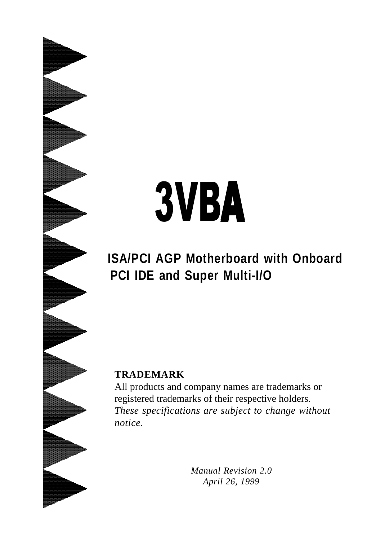# 3VBA

**ISA/PCI AGP Motherboard with Onboard PCI IDE and Super Multi-I/O**

#### **TRADEMARK**

All products and company names are trademarks or registered trademarks of their respective holders. *These specifications are subject to change without notice.*

> *Manual Revision 2.0 April 26, 1999*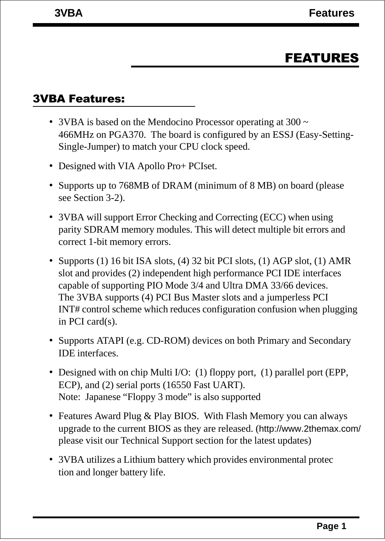## FEATURES

#### 3VBA Features:

- 3VBA is based on the Mendocino Processor operating at 300  $\sim$ 466MHz on PGA370. The board is configured by an ESSJ (Easy-Setting-Single-Jumper) to match your CPU clock speed.
- Designed with VIA Apollo Pro+ PCIset.
- Supports up to 768MB of DRAM (minimum of 8 MB) on board (please see Section 3-2).
- 3VBA will support Error Checking and Correcting (ECC) when using parity SDRAM memory modules. This will detect multiple bit errors and correct 1-bit memory errors.
- Supports (1) 16 bit ISA slots, (4) 32 bit PCI slots, (1) AGP slot, (1) AMR slot and provides (2) independent high performance PCI IDE interfaces capable of supporting PIO Mode 3/4 and Ultra DMA 33/66 devices. The 3VBA supports (4) PCI Bus Master slots and a jumperless PCI INT# control scheme which reduces configuration confusion when plugging in PCI card(s).
- Supports ATAPI (e.g. CD-ROM) devices on both Primary and Secondary IDE interfaces.
- Designed with on chip Multi I/O: (1) floppy port, (1) parallel port (EPP, ECP), and (2) serial ports (16550 Fast UART). Note: Japanese "Floppy 3 mode" is also supported
- Features Award Plug & Play BIOS. With Flash Memory you can always upgrade to the current BIOS as they are released. (http://www.2themax.com/ please visit our Technical Support section for the latest updates)
- 3VBA utilizes a Lithium battery which provides environmental protec tion and longer battery life.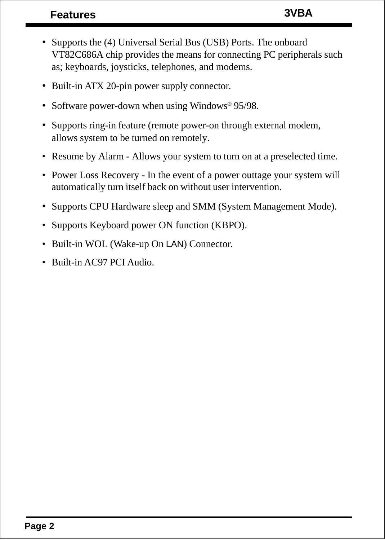### **Features 3VBA**

- Supports the (4) Universal Serial Bus (USB) Ports. The onboard VT82C686A chip provides the means for connecting PC peripherals such as; keyboards, joysticks, telephones, and modems.
- Built-in ATX 20-pin power supply connector.
- Software power-down when using Windows<sup>®</sup> 95/98.
- Supports ring-in feature (remote power-on through external modem, allows system to be turned on remotely.
- Resume by Alarm Allows your system to turn on at a preselected time.
- Power Loss Recovery In the event of a power outtage your system will automatically turn itself back on without user intervention.
- Supports CPU Hardware sleep and SMM (System Management Mode).
- Supports Keyboard power ON function (KBPO).
- Built-in WOL (Wake-up On LAN) Connector.
- Built-in AC97 PCI Audio.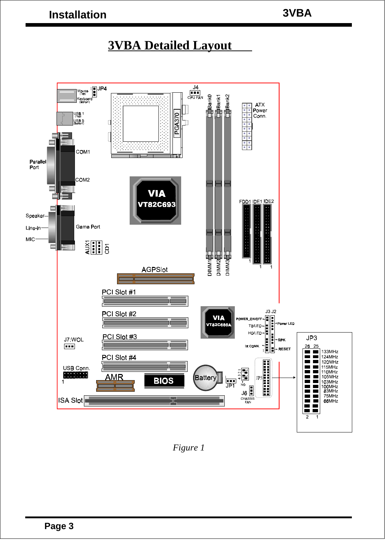## **3VBA Detailed Layout**



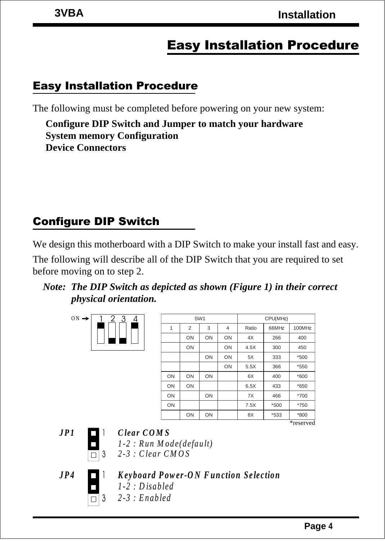# Easy Installation Procedure

#### Easy Installation Procedure

The following must be completed before powering on your new system:

**Configure DIP Switch and Jumper to match your hardware System memory Configuration Device Connectors**

## Configure DIP Switch

We design this motherboard with a DIP Switch to make your install fast and easy.

The following will describe all of the DIP Switch that you are required to set before moving on to step 2.

*Note: The DIP Switch as depicted as shown (Figure 1) in their correct physical orientation.*

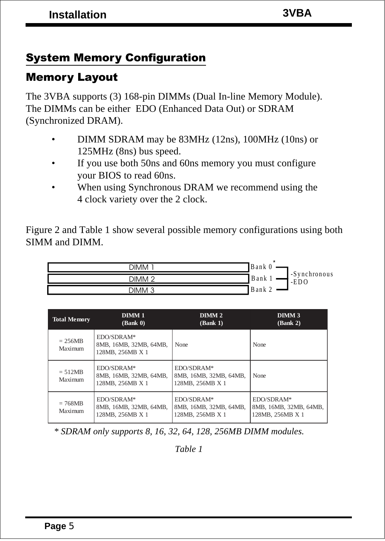## System Memory Configuration

#### Memory Layout

The 3VBA supports (3) 168-pin DIMMs (Dual In-line Memory Module). The DIMMs can be either EDO (Enhanced Data Out) or SDRAM (Synchronized DRAM).

- DIMM SDRAM may be 83MHz (12ns), 100MHz (10ns) or 125MHz (8ns) bus speed.
- If you use both 50ns and 60ns memory you must configure your BIOS to read 60ns.
- When using Synchronous DRAM we recommend using the 4 clock variety over the 2 clock.

Figure 2 and Table 1 show several possible memory configurations using both SIMM and DIMM.



| <b>Total Memory</b>  | DIMM <sub>1</sub><br>(Bank 0)                            | DIMM <sub>2</sub><br>(Bank 1)                            | DIMM <sub>3</sub><br>(Bank 2)                            |
|----------------------|----------------------------------------------------------|----------------------------------------------------------|----------------------------------------------------------|
| $= 256MB$<br>Maximum | EDO/SDRAM*<br>8MB, 16MB, 32MB, 64MB,<br>128MB, 256MB X 1 | None                                                     | None                                                     |
| $= 512MB$<br>Maximum | EDO/SDRAM*<br>8MB, 16MB, 32MB, 64MB,<br>128MB, 256MB X 1 | EDO/SDRAM*<br>8MB, 16MB, 32MB, 64MB.<br>128MB, 256MB X 1 | None                                                     |
| $= 768MB$<br>Maximum | EDO/SDRAM*<br>8MB, 16MB, 32MB, 64MB,<br>128MB, 256MB X 1 | EDO/SDRAM*<br>8MB, 16MB, 32MB, 64MB,<br>128MB, 256MB X 1 | EDO/SDRAM*<br>8MB, 16MB, 32MB, 64MB,<br>128MB, 256MB X 1 |

 *\* SDRAM only supports 8, 16, 32, 64, 128, 256MB DIMM modules.*

*Table 1*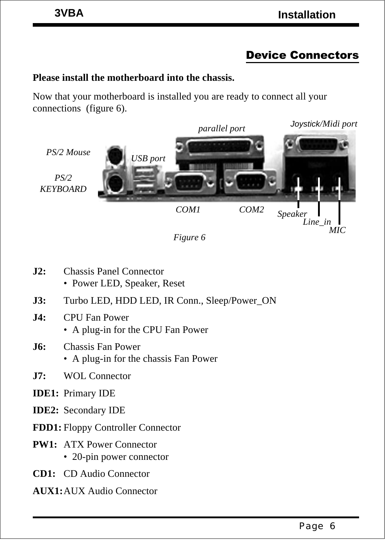# Device Connectors

#### **Please install the motherboard into the chassis.**

Now that your motherboard is installed you are ready to connect all your connections (figure 6).



*Figure 6*

- **J2:** Chassis Panel Connector
	- Power LED, Speaker, Reset
- **J3:** Turbo LED, HDD LED, IR Conn., Sleep/Power\_ON
- **J4:** CPU Fan Power
	- A plug-in for the CPU Fan Power
- **J6:** Chassis Fan Power
	- A plug-in for the chassis Fan Power
- **J7:** WOL Connector
- **IDE1:** Primary IDE
- **IDE2:** Secondary IDE
- **FDD1:** Floppy Controller Connector
- **PW1:** ATX Power Connector • 20-pin power connector
- **CD1:** CD Audio Connector
- **AUX1:**AUX Audio Connector